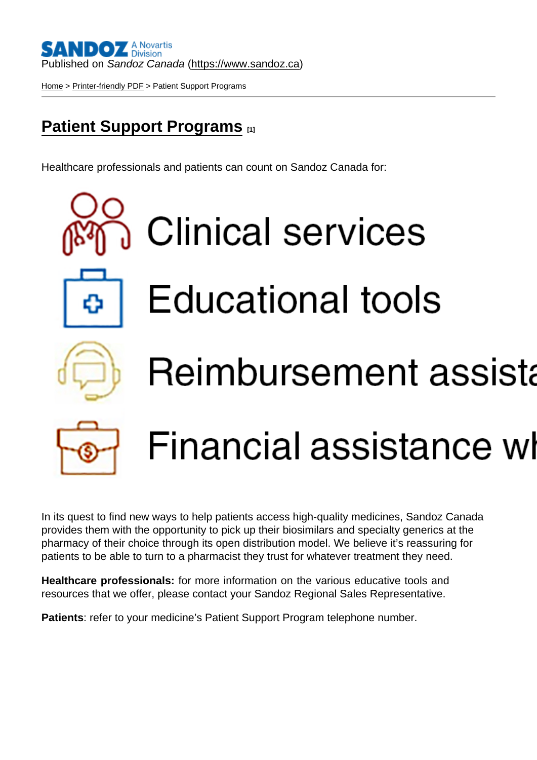### Published on Sandoz Canada [\(https://www.sandoz.ca](https://www.sandoz.ca))

[Home](https://www.sandoz.ca/en) > [Printer-friendly PDF](https://www.sandoz.ca/en/printpdf) > Patient Support Programs

## [Patient Support Programs](https://www.sandoz.ca/en/psp) [1]

Healthcare professionals and patients can count on Sandoz Canada for:

In its quest to find new ways to help patients access high-quality medicines, Sandoz Canada provides them with the opportunity to pick up their biosimilars and specialty generics at the pharmacy of their choice through its open distribution model. We believe it's reassuring for patients to be able to turn to a pharmacist they trust for whatever treatment they need.

Healthcare professionals: for more information on the various educative tools and resources that we offer, please contact your Sandoz Regional Sales Representative.

Patients : refer to your medicine's Patient Support Program telephone number.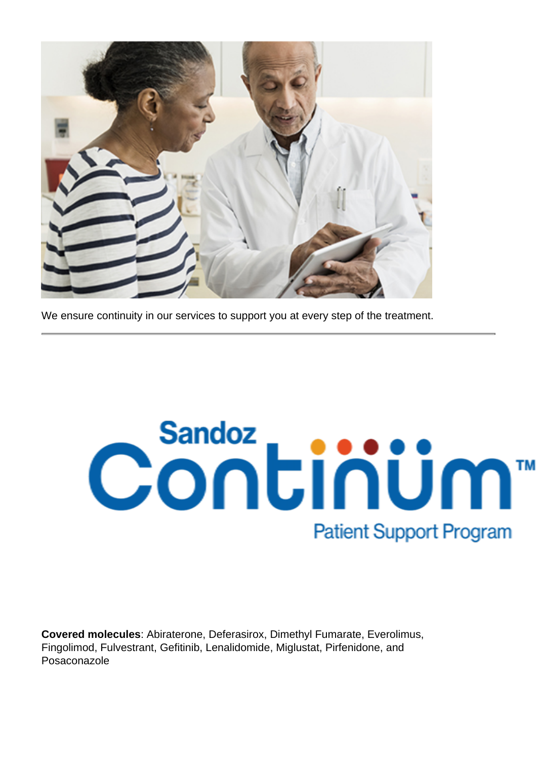

We ensure continuity in our services to support you at every step of the treatment.

# Continum<sup>™</sup> **Patient Support Program**

**Covered molecules**: Abiraterone, Deferasirox, Dimethyl Fumarate, Everolimus, Fingolimod, Fulvestrant, Gefitinib, Lenalidomide, Miglustat, Pirfenidone, and Posaconazole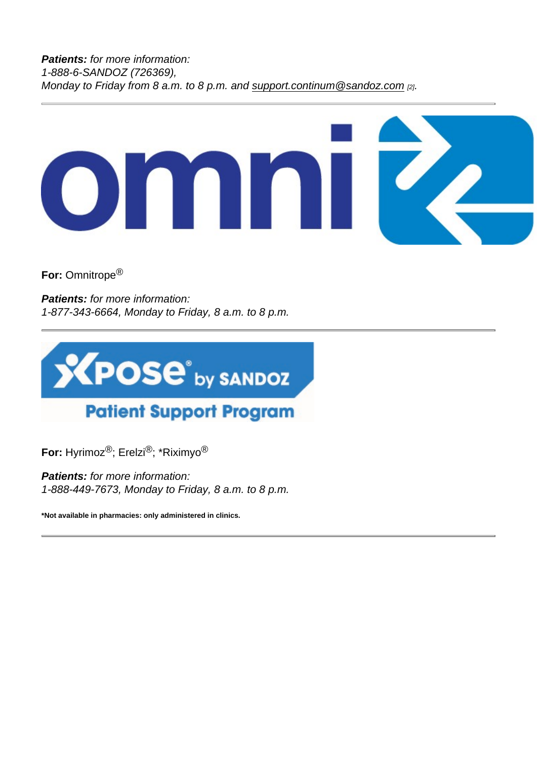For: Omnitrope®

Patients: for more information: 1-877-343-6664, Monday to Friday, 8 a.m. to 8 p.m.

For: Hyrimoz®; Erelzi®; \*Riximyo®

Patients: for more information: 1-888-449-7673, Monday to Friday, 8 a.m. to 8 p.m.

\*Not available in pharmacies: only administered in clinics.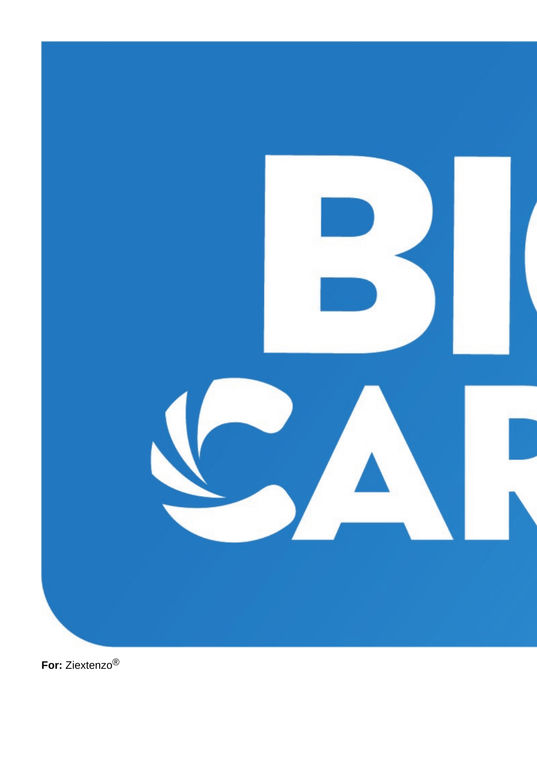

For: Ziextenzo<sup>®</sup>